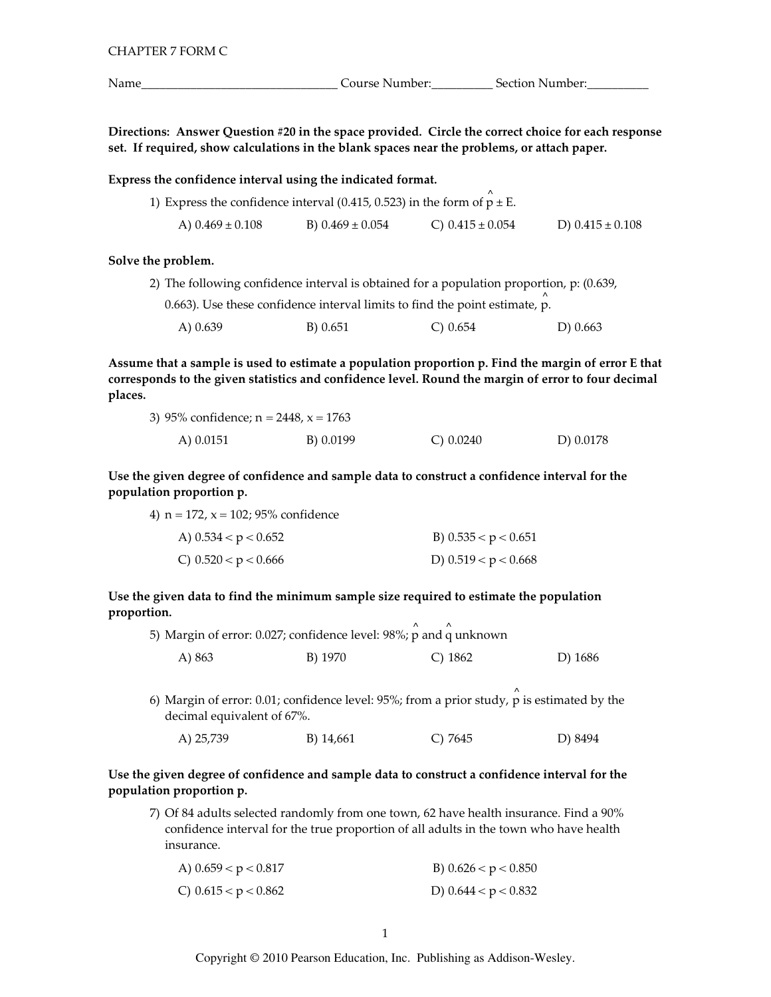| CHAPTER 7 FORM C |  |
|------------------|--|
|                  |  |

Course Number:<br>
<u>
Course Number:</u>

Directions: Answer Question #20 in the space provided. Circle the correct choice for each response set. If required, show calculations in the blank spaces near the problems, or attach paper.

| Express the confidence interval using the indicated format.                  |                      |                      |                      |
|------------------------------------------------------------------------------|----------------------|----------------------|----------------------|
| 1) Express the confidence interval (0.415, 0.523) in the form of $p \pm E$ . |                      |                      |                      |
| A) $0.469 \pm 0.108$                                                         | B) $0.469 \pm 0.054$ | C) $0.415 \pm 0.054$ | D) $0.415 \pm 0.108$ |

#### Solve the problem.

|  | 2) The following confidence interval is obtained for a population proportion, p: (0.639, |  |  |  |  |  |  |  |
|--|------------------------------------------------------------------------------------------|--|--|--|--|--|--|--|
|--|------------------------------------------------------------------------------------------|--|--|--|--|--|--|--|

0.663). Use these confidence interval limits to find the point estimate, p.

| A) 0.639 | B) 0.651 | C) $0.654$ | D) $0.663$ |
|----------|----------|------------|------------|
|----------|----------|------------|------------|

Assume that a sample is used to estimate a population proportion p. Find the margin of error E that corresponds to the given statistics and confidence level. Round the margin of error to four decimal places.

| 3) 95% confidence; $n = 2448$ , $x = 1763$ |           |             |           |
|--------------------------------------------|-----------|-------------|-----------|
| A) $0.0151$                                | B) 0.0199 | C) $0.0240$ | D) 0.0178 |

Use the given degree of confidence and sample data to construct a confidence interval for the population proportion p.

| 4) $n = 172$ , $x = 102$ ; 95% confidence |  |
|-------------------------------------------|--|
|-------------------------------------------|--|

| A) $0.534 < p < 0.652$ | B) $0.535 < p < 0.651$ |
|------------------------|------------------------|
| C) $0.520 < p < 0.666$ | D) $0.519 < p < 0.668$ |

Use the given data to find the minimum sample size required to estimate the population proportion.

|        |         | 5) Margin of error: 0.027; confidence level: 98%; p and q unknown |         |
|--------|---------|-------------------------------------------------------------------|---------|
| A) 863 | B) 1970 | C) 1862                                                           | D) 1686 |

6) Margin of error: 0.01; confidence level: 95%; from a prior study,  $\rho$  is estimated by the decimal equivalent of 67%.

B) 14,661 A) 25,739  $C)$  7645 D) 8494

# Use the given degree of confidence and sample data to construct a confidence interval for the population proportion p.

7) Of 84 adults selected randomly from one town, 62 have health insurance. Find a 90% confidence interval for the true proportion of all adults in the town who have health insurance.

| A) $0.659 < p < 0.817$ | B) $0.626 < p < 0.850$ |
|------------------------|------------------------|
| C) $0.615 < p < 0.862$ | D) $0.644 < p < 0.832$ |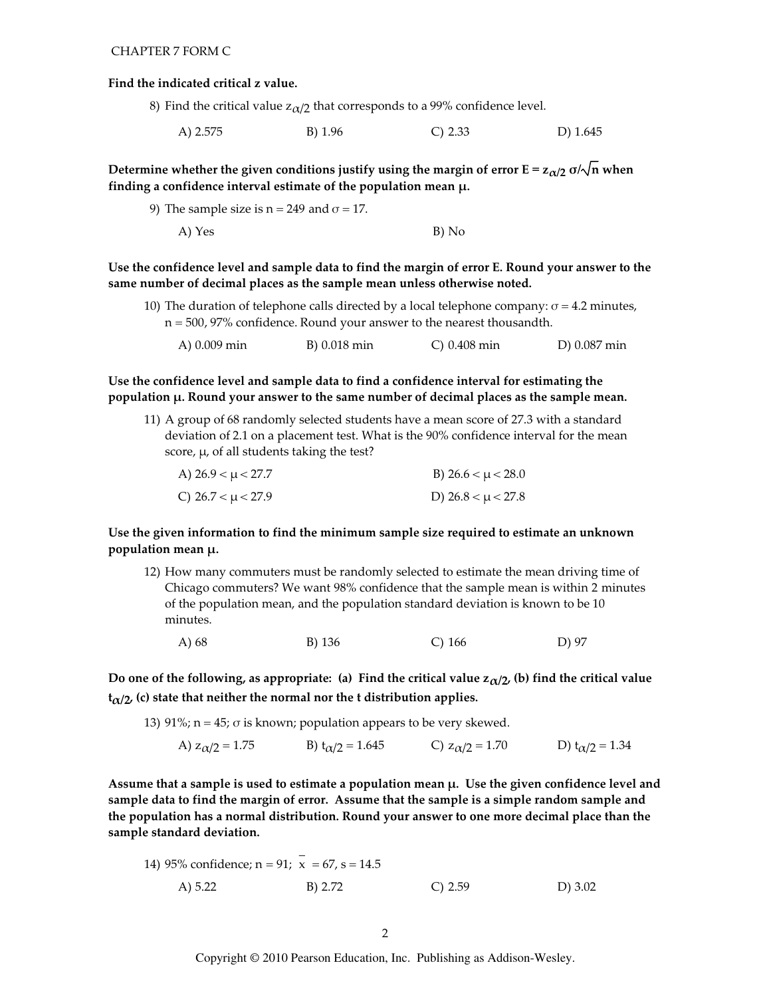#### Find the indicated critical z value.

- 8) Find the critical value  $z_{\alpha/2}$  that corresponds to a 99% confidence level.
	- A) 2.575 B) 1.96  $C) 2.33$ D) 1.645

Determine whether the given conditions justify using the margin of error  $E = z_{\alpha/2} \sigma/\sqrt{n}$  when finding a confidence interval estimate of the population mean  $\mu$ .

9) The sample size is  $n = 249$  and  $\sigma = 17$ . A) Yes B) No

Use the confidence level and sample data to find the margin of error E. Round your answer to the same number of decimal places as the sample mean unless otherwise noted.

- 10) The duration of telephone calls directed by a local telephone company:  $\sigma$  = 4.2 minutes,  $n = 500$ , 97% confidence. Round your answer to the nearest thousandth.
	- A) 0.009 min B) 0.018 min  $C) 0.408$  min D) 0.087 min

Use the confidence level and sample data to find a confidence interval for estimating the population µ. Round your answer to the same number of decimal places as the sample mean.

11) A group of 68 randomly selected students have a mean score of 27.3 with a standard deviation of 2.1 on a placement test. What is the 90% confidence interval for the mean score,  $\mu$ , of all students taking the test?

| A) $26.9 < \mu < 27.7$ | B) $26.6 < \mu < 28.0$ |
|------------------------|------------------------|
| C) $26.7 < \mu < 27.9$ | D) $26.8 < \mu < 27.8$ |

# Use the given information to find the minimum sample size required to estimate an unknown population mean µ.

12) How many commuters must be randomly selected to estimate the mean driving time of Chicago commuters? We want 98% confidence that the sample mean is within 2 minutes of the population mean, and the population standard deviation is known to be 10 minutes.

A) 68 B) 136  $C)$  166 D) 97

Do one of the following, as appropriate: (a) Find the critical value  $z_{\alpha/2}$ , (b) find the critical value  $t_{\alpha/2}$ , (c) state that neither the normal nor the t distribution applies.

- 13) 91%;  $n = 45$ ;  $\sigma$  is known; population appears to be very skewed.
	- A)  $z_{\alpha/2} = 1.75$  B)  $t_{\alpha/2} = 1.645$  C)  $z_{\alpha/2} = 1.70$  D)  $t_{\alpha/2} = 1.34$

Assume that a sample is used to estimate a population mean  $\mu$ . Use the given confidence level and sample data to find the margin of error. Assume that the sample is a simple random sample and the population has a normal distribution. Round your answer to one more decimal place than the sample standard deviation.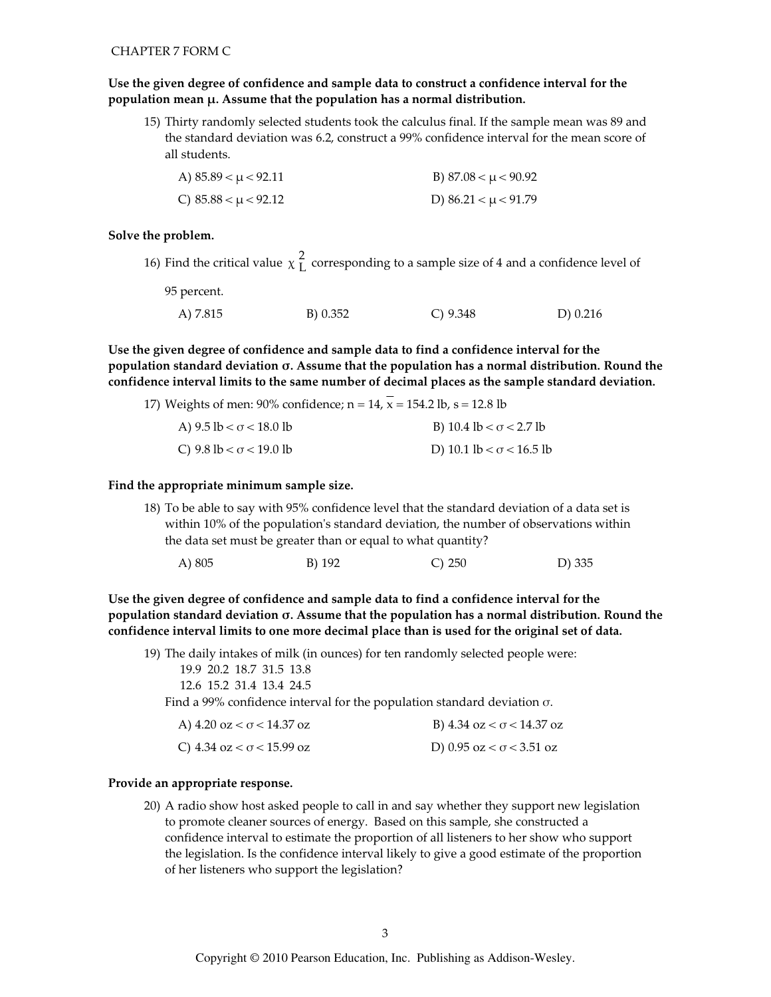# Use the given degree of confidence and sample data to construct a confidence interval for the population mean  $\mu$ . Assume that the population has a normal distribution.

15) Thirty randomly selected students took the calculus final. If the sample mean was 89 and the standard deviation was 6.2, construct a 99% confidence interval for the mean score of all students.

| A) $85.89 < \mu < 92.11$ | B) $87.08 < \mu < 90.92$ |
|--------------------------|--------------------------|
| C) $85.88 < \mu < 92.12$ | D) $86.21 < \mu < 91.79$ |

#### Solve the problem.

16) Find the critical value  $\chi^2$  corresponding to a sample size of 4 and a confidence level of

95 percent.

| A) 7.815 | B) 0.352 | C) $9.348$ | D) 0.216 |
|----------|----------|------------|----------|

Use the given degree of confidence and sample data to find a confidence interval for the population standard deviation  $\sigma$ . Assume that the population has a normal distribution. Round the confidence interval limits to the same number of decimal places as the sample standard deviation.

| 17) Weights of men: 90% confidence; $n = 14$ , $x = 154.2$ lb, $s = 12.8$ lb |                                 |
|------------------------------------------------------------------------------|---------------------------------|
| A) $9.5 \text{ lb} < \sigma < 18.0 \text{ lb}$                               | B) 10.4 lb < $\sigma$ < 2.7 lb  |
| C) $9.8 \text{ lb} < \sigma < 19.0 \text{ lb}$                               | D) 10.1 lb $< \sigma$ < 16.5 lb |

## Find the appropriate minimum sample size.

18) To be able to say with 95% confidence level that the standard deviation of a data set is within 10% of the population's standard deviation, the number of observations within the data set must be greater than or equal to what quantity?

|  | A) 805 | B) 192 | C) 250 | D) 335 |
|--|--------|--------|--------|--------|
|--|--------|--------|--------|--------|

Use the given degree of confidence and sample data to find a confidence interval for the population standard deviation o. Assume that the population has a normal distribution. Round the confidence interval limits to one more decimal place than is used for the original set of data.

19) The daily intakes of milk (in ounces) for ten randomly selected people were:

```
19.9 20.2 18.7 31.5 13.8
```
12.6 15.2 31.4 13.4 24.5

Find a 99% confidence interval for the population standard deviation  $\sigma$ .

| A) $4.20$ oz $< \sigma$ < 14.37 oz               | B) $4.34 \text{ oz} < \sigma < 14.37 \text{ oz}$ |
|--------------------------------------------------|--------------------------------------------------|
| C) $4.34 \text{ oz} < \sigma < 15.99 \text{ oz}$ | D) 0.95 oz $< \sigma$ < 3.51 oz                  |

## Provide an appropriate response.

20) A radio show host asked people to call in and say whether they support new legislation to promote cleaner sources of energy. Based on this sample, she constructed a confidence interval to estimate the proportion of all listeners to her show who support the legislation. Is the confidence interval likely to give a good estimate of the proportion of her listeners who support the legislation?